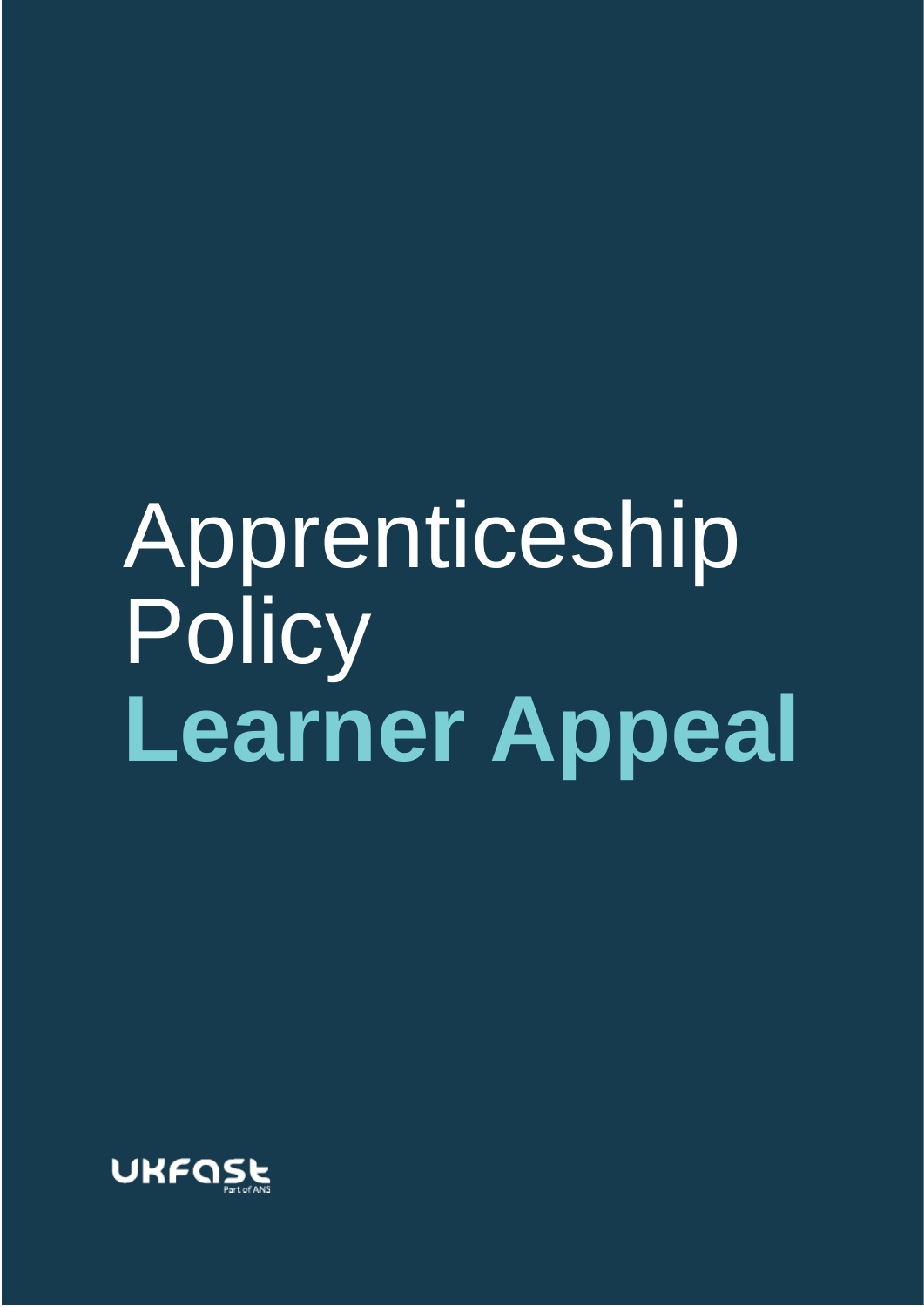# Apprenticeship **Policy Learner Appeal**

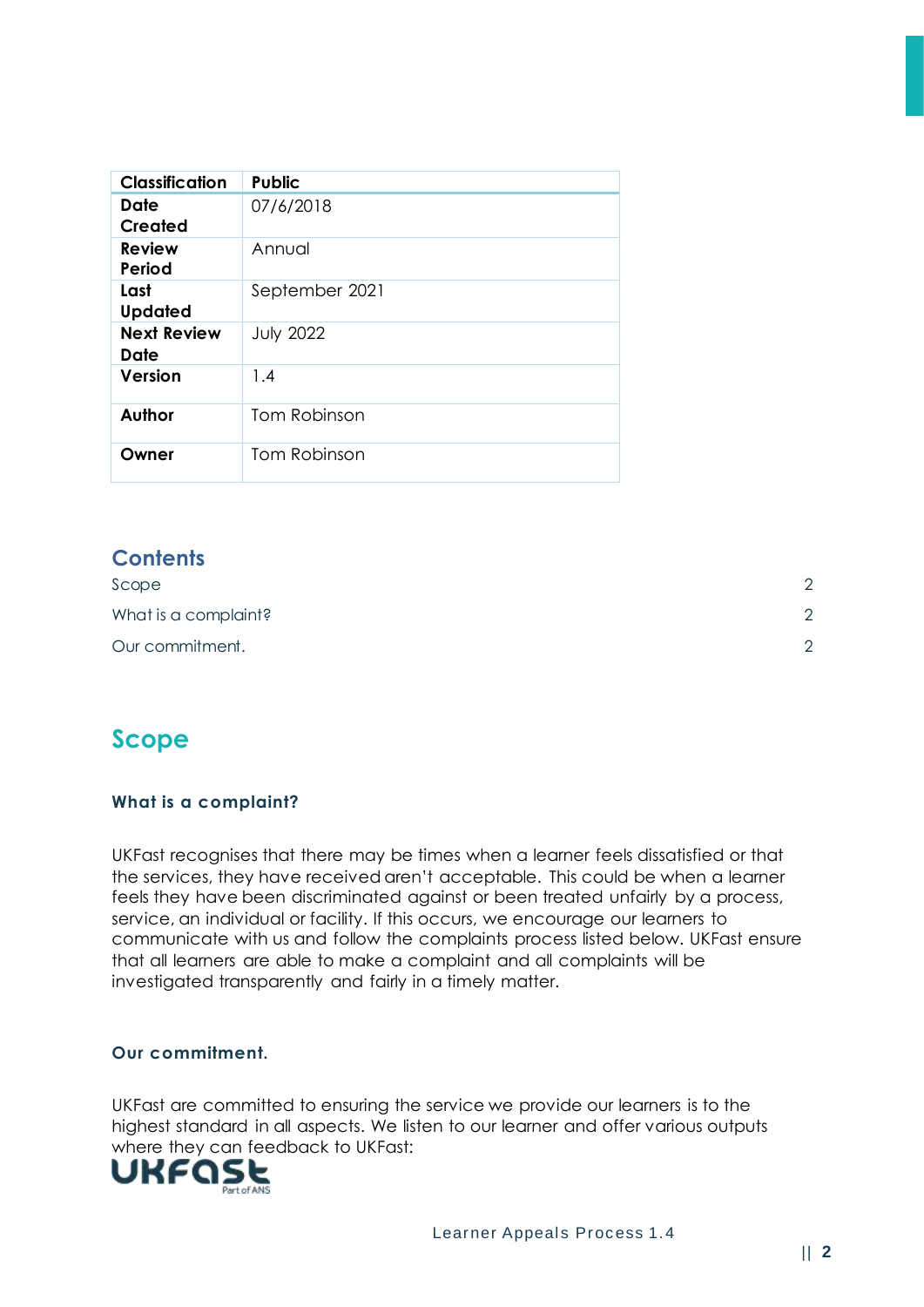| <b>Classification</b>      | <b>Public</b>    |
|----------------------------|------------------|
| Date<br><b>Created</b>     | 07/6/2018        |
| <b>Review</b><br>Period    | Annual           |
| Last<br><b>Updated</b>     | September 2021   |
| <b>Next Review</b><br>Date | <b>July 2022</b> |
| Version                    | 1.4              |
| Author                     | Tom Robinson     |
| Owner                      | Tom Robinson     |

### **Contents**

| Scope                | $\cap$ |
|----------------------|--------|
| What is a complaint? | $\cap$ |
| Our commitment.      | $\cap$ |

## <span id="page-1-0"></span>**Scope**

#### <span id="page-1-1"></span>**What is a complaint?**

UKFast recognises that there may be times when a learner feels dissatisfied or that the services, they have received aren't acceptable. This could be when a learner feels they have been discriminated against or been treated unfairly by a process, service, an individual or facility. If this occurs, we encourage our learners to communicate with us and follow the complaints process listed below. UKFast ensure that all learners are able to make a complaint and all complaints will be investigated transparently and fairly in a timely matter.

#### <span id="page-1-2"></span>**Our commitment.**

UKFast are committed to ensuring the service we provide our learners is to the highest standard in all aspects. We listen to our learner and offer various outputs where they can feedback to UKFast:<br> **UKFQSL** 

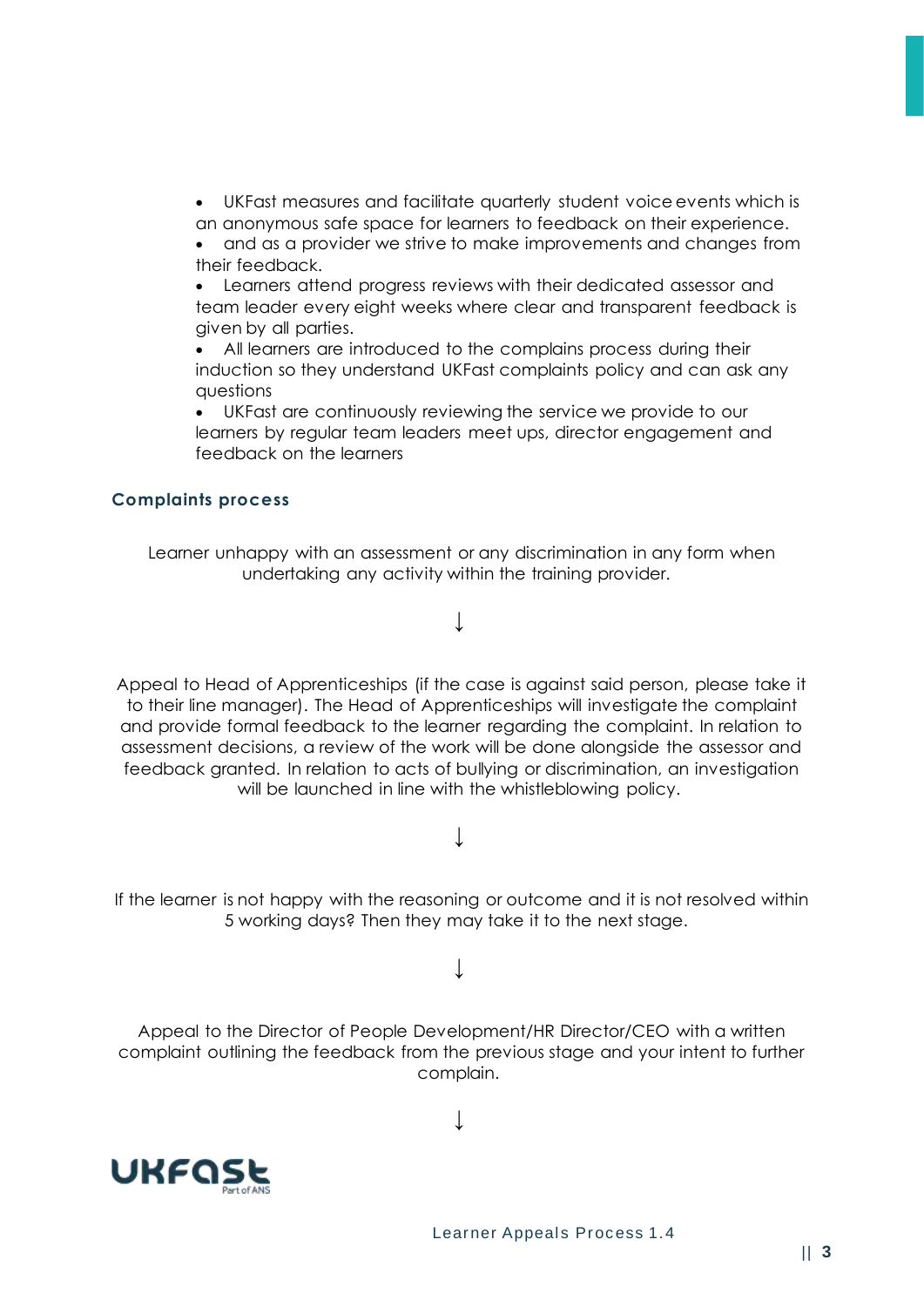• UKFast measures and facilitate quarterly student voice events which is an anonymous safe space for learners to feedback on their experience.

• and as a provider we strive to make improvements and changes from their feedback.

• Learners attend progress reviews with their dedicated assessor and team leader every eight weeks where clear and transparent feedback is given by all parties.

All learners are introduced to the complains process during their induction so they understand UKFast complaints policy and can ask any questions

• UKFast are continuously reviewing the service we provide to our learners by regular team leaders meet ups, director engagement and feedback on the learners

#### **Complaints process**

Learner unhappy with an assessment or any discrimination in any form when undertaking any activity within the training provider.

↓

Appeal to Head of Apprenticeships (if the case is against said person, please take it to their line manager). The Head of Apprenticeships will investigate the complaint and provide formal feedback to the learner regarding the complaint. In relation to assessment decisions, a review of the work will be done alongside the assessor and feedback granted. In relation to acts of bullying or discrimination, an investigation will be launched in line with the whistleblowing policy.

 $\perp$ 

If the learner is not happy with the reasoning or outcome and it is not resolved within 5 working days? Then they may take it to the next stage.

↓

Appeal to the Director of People Development/HR Director/CEO with a written complaint outlining the feedback from the previous stage and your intent to further complain.

↓